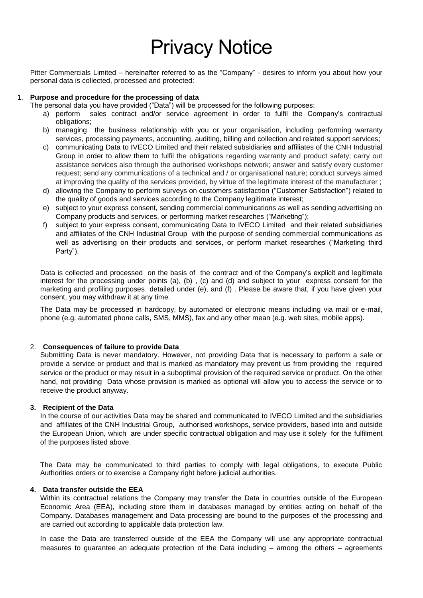# Privacy Notice

Pitter Commercials Limited – hereinafter referred to as the "Company" - desires to inform you about how your personal data is collected, processed and protected:

#### 1. **Purpose and procedure for the processing of data**

The personal data you have provided ("Data") will be processed for the following purposes:

- a) perform sales contract and/or service agreement in order to fulfil the Company's contractual obligations;
- b) managing the business relationship with you or your organisation, including performing warranty services, processing payments, accounting, auditing, billing and collection and related support services;
- c) communicating Data to IVECO Limited and their related subsidiaries and affiliates of the CNH Industrial Group in order to allow them to fulfil the obligations regarding warranty and product safety; carry out assistance services also through the authorised workshops network; answer and satisfy every customer request; send any communications of a technical and / or organisational nature; conduct surveys aimed at improving the quality of the services provided, by virtue of the legitimate interest of the manufacturer ;
- d) allowing the Company to perform surveys on customers satisfaction ("Customer Satisfaction") related to the quality of goods and services according to the Company legitimate interest;
- e) subject to your express consent, sending commercial communications as well as sending advertising on Company products and services, or performing market researches ("Marketing");
- f) subject to your express consent, communicating Data to IVECO Limited and their related subsidiaries and affiliates of the CNH Industrial Group with the purpose of sending commercial communications as well as advertising on their products and services, or perform market researches ("Marketing third Party").

Data is collected and processed on the basis of the contract and of the Company's explicit and legitimate interest for the processing under points (a), (b), (c) and (d) and subject to your express consent for the marketing and profiling purposes detailed under (e), and (f) . Please be aware that, if you have given your consent, you may withdraw it at any time.

The Data may be processed in hardcopy, by automated or electronic means including via mail or e-mail, phone (e.g. automated phone calls, SMS, MMS), fax and any other mean (e.g. web sites, mobile apps).

#### 2. **Consequences of failure to provide Data**

Submitting Data is never mandatory. However, not providing Data that is necessary to perform a sale or provide a service or product and that is marked as mandatory may prevent us from providing the required service or the product or may result in a suboptimal provision of the required service or product. On the other hand, not providing Data whose provision is marked as optional will allow you to access the service or to receive the product anyway.

## **3. Recipient of the Data**

In the course of our activities Data may be shared and communicated to IVECO Limited and the subsidiaries and affiliates of the CNH Industrial Group, authorised workshops, service providers, based into and outside the European Union, which are under specific contractual obligation and may use it solely for the fulfilment of the purposes listed above.

The Data may be communicated to third parties to comply with legal obligations, to execute Public Authorities orders or to exercise a Company right before judicial authorities.

#### **4. Data transfer outside the EEA**

Within its contractual relations the Company may transfer the Data in countries outside of the European Economic Area (EEA), including store them in databases managed by entities acting on behalf of the Company. Databases management and Data processing are bound to the purposes of the processing and are carried out according to applicable data protection law.

In case the Data are transferred outside of the EEA the Company will use any appropriate contractual measures to guarantee an adequate protection of the Data including – among the others – agreements